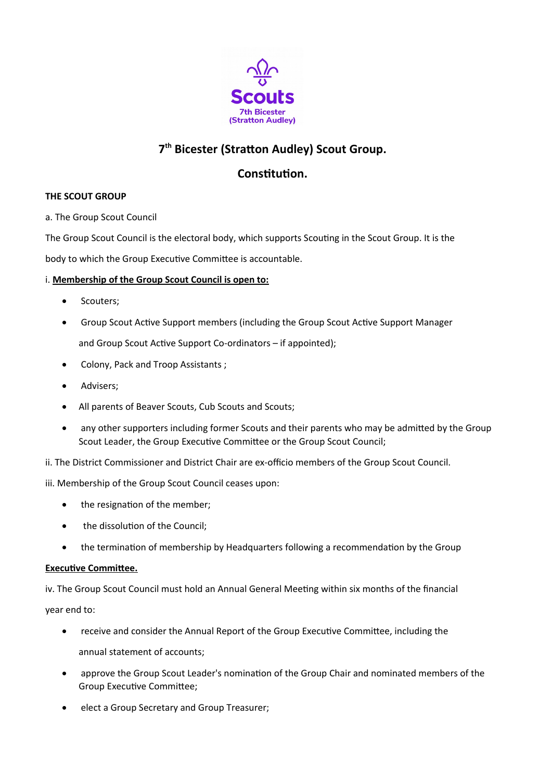

# **7 th Bicester (Stratton Audley) Scout Group.**

## **Constitution.**

## **THE SCOUT GROUP**

a. The Group Scout Council

The Group Scout Council is the electoral body, which supports Scouting in the Scout Group. It is the

body to which the Group Executive Committee is accountable.

## i. **Membership of the Group Scout Council is open to:**

- Scouters;
- Group Scout Active Support members (including the Group Scout Active Support Manager and Group Scout Active Support Co-ordinators – if appointed);
- Colony, Pack and Troop Assistants ;
- Advisers;
- All parents of Beaver Scouts, Cub Scouts and Scouts;
- any other supporters including former Scouts and their parents who may be admitted by the Group Scout Leader, the Group Executive Committee or the Group Scout Council;
- ii. The District Commissioner and District Chair are ex-officio members of the Group Scout Council.

iii. Membership of the Group Scout Council ceases upon:

- the resignation of the member:
- the dissolution of the Council;
- the termination of membership by Headquarters following a recommendation by the Group

### **Executive Committee.**

iv. The Group Scout Council must hold an Annual General Meeting within six months of the financial year end to:

- receive and consider the Annual Report of the Group Executive Committee, including the annual statement of accounts;
- approve the Group Scout Leader's nomination of the Group Chair and nominated members of the Group Executive Committee;
- **e** elect a Group Secretary and Group Treasurer;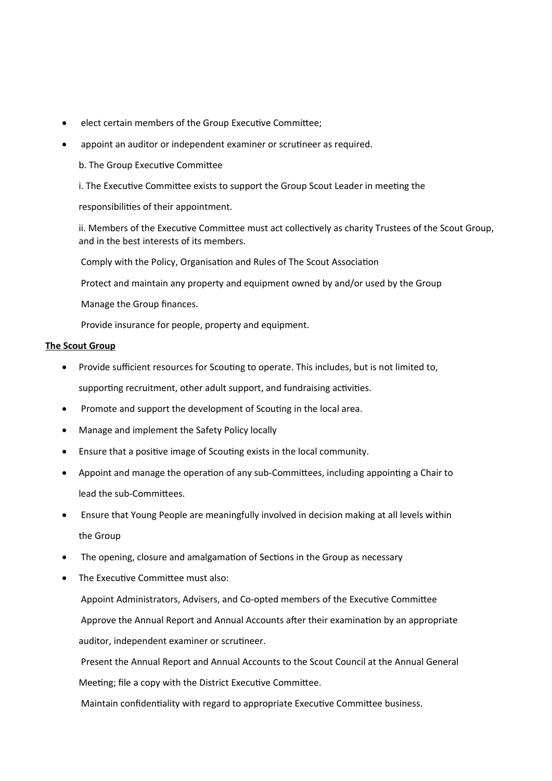- elect certain members of the Group Executive Committee;
- appoint an auditor or independent examiner or scrutineer as required.
	- b. The Group Executive Committee

i. The Executive Committee exists to support the Group Scout Leader in meeting the

responsibilities of their appointment.

ii. Members of the Executive Committee must act collectively as charity Trustees of the Scout Group, and in the best interests of its members.

Comply with the Policy, Organisation and Rules of The Scout Association

Protect and maintain any property and equipment owned by and/or used by the Group

Manage the Group finances.

Provide insurance for people, property and equipment.

#### **The Scout Group**

- Provide sufficient resources for Scouting to operate. This includes, but is not limited to, supporting recruitment, other adult support, and fundraising activities.
- Promote and support the development of Scouting in the local area.
- Manage and implement the Safety Policy locally
- Ensure that a positive image of Scouting exists in the local community.
- Appoint and manage the operation of any sub-Committees, including appointing a Chair to lead the sub-Committees.
- Ensure that Young People are meaningfully involved in decision making at all levels within the Group
- The opening, closure and amalgamation of Sections in the Group as necessary
- The Executive Committee must also:

 Appoint Administrators, Advisers, and Co-opted members of the Executive Committee Approve the Annual Report and Annual Accounts after their examination by an appropriate auditor, independent examiner or scrutineer.

 Present the Annual Report and Annual Accounts to the Scout Council at the Annual General Meeting; file a copy with the District Executive Committee.

Maintain confidentiality with regard to appropriate Executive Committee business.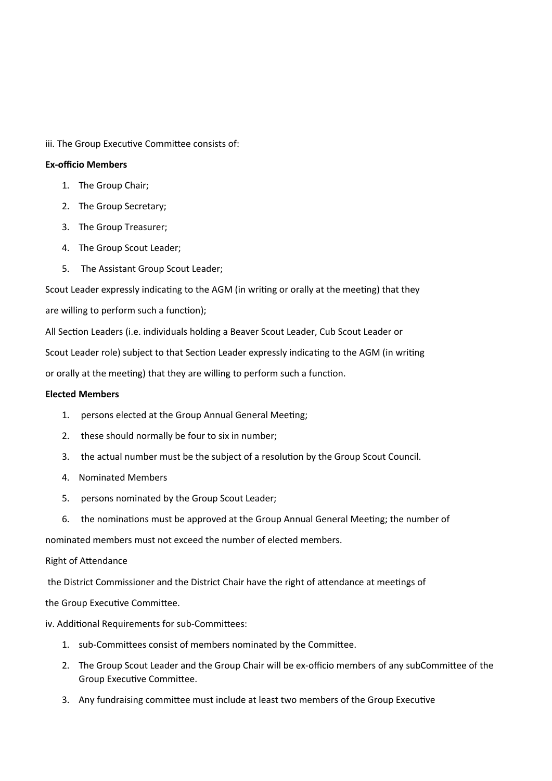iii. The Group Executive Committee consists of:

#### **Ex-officio Members**

- 1. The Group Chair;
- 2. The Group Secretary;
- 3. The Group Treasurer;
- 4. The Group Scout Leader;
- 5. The Assistant Group Scout Leader;

Scout Leader expressly indicating to the AGM (in writing or orally at the meeting) that they

are willing to perform such a function);

All Section Leaders (i.e. individuals holding a Beaver Scout Leader, Cub Scout Leader or

Scout Leader role) subject to that Section Leader expressly indicating to the AGM (in writing

or orally at the meeting) that they are willing to perform such a function.

#### **Elected Members**

- 1. persons elected at the Group Annual General Meeting;
- 2. these should normally be four to six in number;
- 3. the actual number must be the subject of a resolution by the Group Scout Council.
- 4. Nominated Members
- 5. persons nominated by the Group Scout Leader;
- 6. the nominations must be approved at the Group Annual General Meeting; the number of

nominated members must not exceed the number of elected members.

#### Right of Attendance

the District Commissioner and the District Chair have the right of attendance at meetings of

the Group Executive Committee.

#### iv. Additional Requirements for sub-Committees:

- 1. sub-Committees consist of members nominated by the Committee.
- 2. The Group Scout Leader and the Group Chair will be ex-officio members of any subCommittee of the Group Executive Committee.
- 3. Any fundraising committee must include at least two members of the Group Executive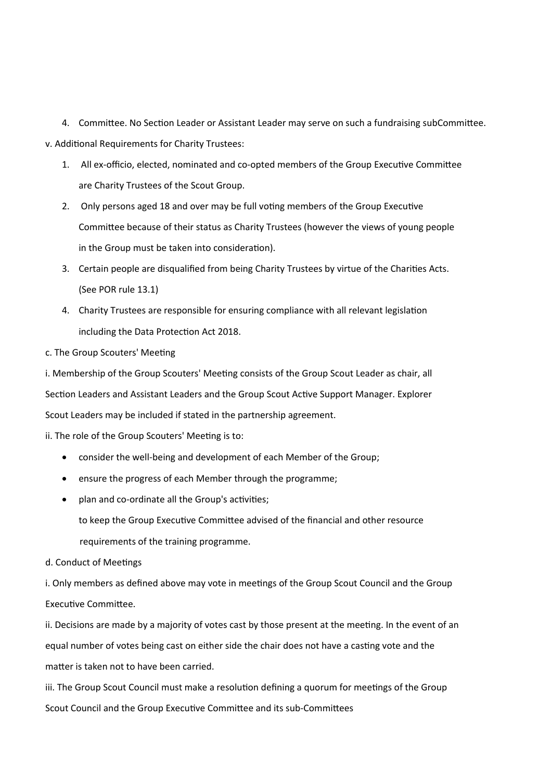4. Committee. No Section Leader or Assistant Leader may serve on such a fundraising subCommittee. v. Additional Requirements for Charity Trustees:

- 1. All ex-officio, elected, nominated and co-opted members of the Group Executive Committee are Charity Trustees of the Scout Group.
- 2. Only persons aged 18 and over may be full voting members of the Group Executive Committee because of their status as Charity Trustees (however the views of young people in the Group must be taken into consideration).
- 3. Certain people are disqualified from being Charity Trustees by virtue of the Charities Acts. (See POR rule 13.1)
- 4. Charity Trustees are responsible for ensuring compliance with all relevant legislation including the Data Protection Act 2018.
- c. The Group Scouters' Meeting

i. Membership of the Group Scouters' Meeting consists of the Group Scout Leader as chair, all Section Leaders and Assistant Leaders and the Group Scout Active Support Manager. Explorer Scout Leaders may be included if stated in the partnership agreement.

ii. The role of the Group Scouters' Meeting is to:

- consider the well-being and development of each Member of the Group;
- ensure the progress of each Member through the programme;
- plan and co-ordinate all the Group's activities;
	- to keep the Group Executive Committee advised of the financial and other resource requirements of the training programme.
- d. Conduct of Meetings

i. Only members as defined above may vote in meetings of the Group Scout Council and the Group Executive Committee.

ii. Decisions are made by a majority of votes cast by those present at the meeting. In the event of an equal number of votes being cast on either side the chair does not have a casting vote and the matter is taken not to have been carried.

iii. The Group Scout Council must make a resolution defining a quorum for meetings of the Group Scout Council and the Group Executive Committee and its sub-Committees